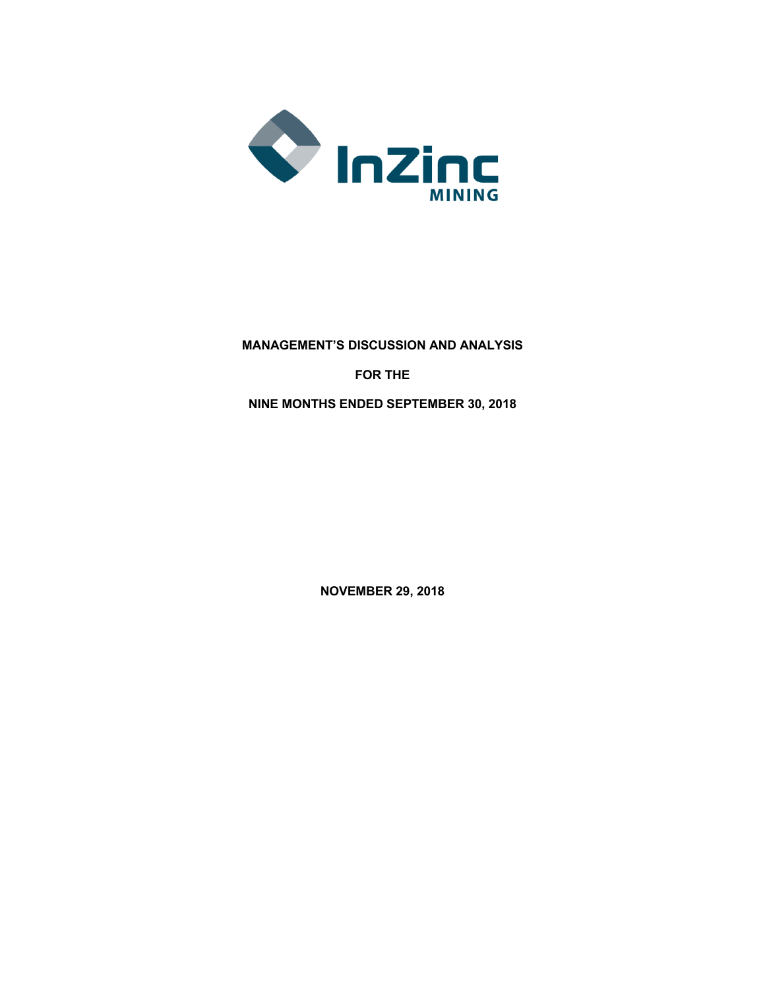

**MANAGEMENT'S DISCUSSION AND ANALYSIS FOR THE NINE MONTHS ENDED SEPTEMBER 30, 2018**

**NOVEMBER 29, 2018**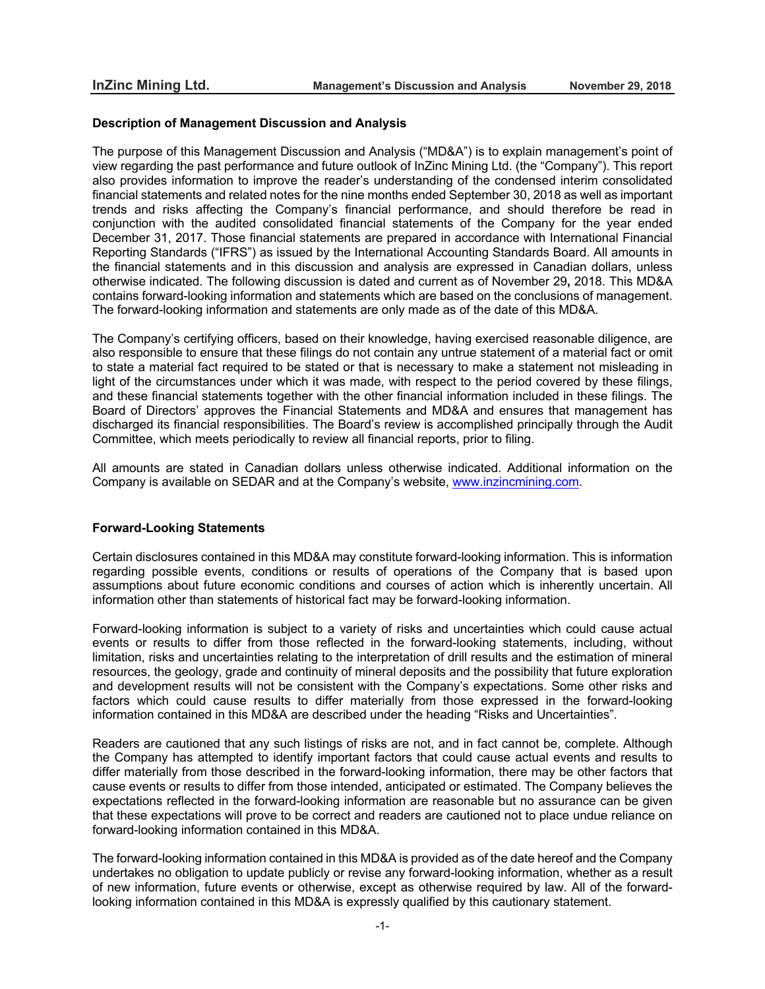#### **Description of Management Discussion and Analysis**

The purpose of this Management Discussion and Analysis ("MD&A") is to explain management's point of view regarding the past performance and future outlook of InZinc Mining Ltd. (the "Company"). This report also provides information to improve the reader's understanding of the condensed interim consolidated financial statements and related notes for the nine months ended September 30, 2018 as well as important trends and risks affecting the Company's financial performance, and should therefore be read in conjunction with the audited consolidated financial statements of the Company for the year ended December 31, 2017. Those financial statements are prepared in accordance with International Financial Reporting Standards ("IFRS") as issued by the International Accounting Standards Board. All amounts in the financial statements and in this discussion and analysis are expressed in Canadian dollars, unless otherwise indicated. The following discussion is dated and current as of November 29**,** 2018. This MD&A contains forward-looking information and statements which are based on the conclusions of management. The forward-looking information and statements are only made as of the date of this MD&A.

The Company's certifying officers, based on their knowledge, having exercised reasonable diligence, are also responsible to ensure that these filings do not contain any untrue statement of a material fact or omit to state a material fact required to be stated or that is necessary to make a statement not misleading in light of the circumstances under which it was made, with respect to the period covered by these filings, and these financial statements together with the other financial information included in these filings. The Board of Directors' approves the Financial Statements and MD&A and ensures that management has discharged its financial responsibilities. The Board's review is accomplished principally through the Audit Committee, which meets periodically to review all financial reports, prior to filing.

All amounts are stated in Canadian dollars unless otherwise indicated. Additional information on the Company is available on SEDAR and at the Company's website, www.inzincmining.com.

## **Forward-Looking Statements**

Certain disclosures contained in this MD&A may constitute forward-looking information. This is information regarding possible events, conditions or results of operations of the Company that is based upon assumptions about future economic conditions and courses of action which is inherently uncertain. All information other than statements of historical fact may be forward-looking information.

Forward-looking information is subject to a variety of risks and uncertainties which could cause actual events or results to differ from those reflected in the forward-looking statements, including, without limitation, risks and uncertainties relating to the interpretation of drill results and the estimation of mineral resources, the geology, grade and continuity of mineral deposits and the possibility that future exploration and development results will not be consistent with the Company's expectations. Some other risks and factors which could cause results to differ materially from those expressed in the forward-looking information contained in this MD&A are described under the heading "Risks and Uncertainties".

Readers are cautioned that any such listings of risks are not, and in fact cannot be, complete. Although the Company has attempted to identify important factors that could cause actual events and results to differ materially from those described in the forward-looking information, there may be other factors that cause events or results to differ from those intended, anticipated or estimated. The Company believes the expectations reflected in the forward-looking information are reasonable but no assurance can be given that these expectations will prove to be correct and readers are cautioned not to place undue reliance on forward-looking information contained in this MD&A.

The forward-looking information contained in this MD&A is provided as of the date hereof and the Company undertakes no obligation to update publicly or revise any forward-looking information, whether as a result of new information, future events or otherwise, except as otherwise required by law. All of the forwardlooking information contained in this MD&A is expressly qualified by this cautionary statement.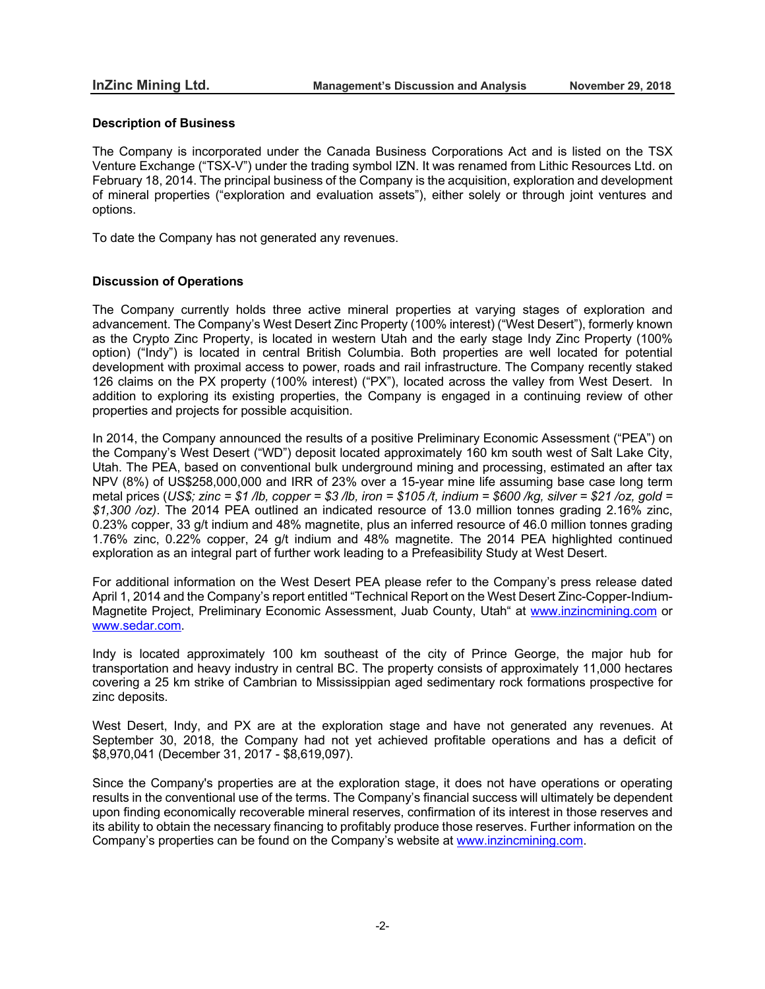## **Description of Business**

The Company is incorporated under the Canada Business Corporations Act and is listed on the TSX Venture Exchange ("TSX-V") under the trading symbol IZN. It was renamed from Lithic Resources Ltd. on February 18, 2014. The principal business of the Company is the acquisition, exploration and development of mineral properties ("exploration and evaluation assets"), either solely or through joint ventures and options.

To date the Company has not generated any revenues.

## **Discussion of Operations**

The Company currently holds three active mineral properties at varying stages of exploration and advancement. The Company's West Desert Zinc Property (100% interest) ("West Desert"), formerly known as the Crypto Zinc Property, is located in western Utah and the early stage Indy Zinc Property (100% option) ("Indy") is located in central British Columbia. Both properties are well located for potential development with proximal access to power, roads and rail infrastructure. The Company recently staked 126 claims on the PX property (100% interest) ("PX"), located across the valley from West Desert. In addition to exploring its existing properties, the Company is engaged in a continuing review of other properties and projects for possible acquisition.

In 2014, the Company announced the results of a positive Preliminary Economic Assessment ("PEA") on the Company's West Desert ("WD") deposit located approximately 160 km south west of Salt Lake City, Utah. The PEA, based on conventional bulk underground mining and processing, estimated an after tax NPV (8%) of US\$258,000,000 and IRR of 23% over a 15-year mine life assuming base case long term metal prices (US\$; zinc = \$1/lb, copper = \$3/lb, iron = \$105/t, indium = \$600/kg, silver = \$21/oz, gold = *\$1,300 /oz)*. The 2014 PEA outlined an indicated resource of 13.0 million tonnes grading 2.16% zinc, 0.23% copper, 33 g/t indium and 48% magnetite, plus an inferred resource of 46.0 million tonnes grading 1.76% zinc, 0.22% copper, 24 g/t indium and 48% magnetite. The 2014 PEA highlighted continued exploration as an integral part of further work leading to a Prefeasibility Study at West Desert.

For additional information on the West Desert PEA please refer to the Company's press release dated April 1, 2014 and the Company's report entitled "Technical Report on the West Desert Zinc-Copper-Indium-Magnetite Project, Preliminary Economic Assessment, Juab County, Utah" at www.inzincmining.com or www.sedar.com.

Indy is located approximately 100 km southeast of the city of Prince George, the major hub for transportation and heavy industry in central BC. The property consists of approximately 11,000 hectares covering a 25 km strike of Cambrian to Mississippian aged sedimentary rock formations prospective for zinc deposits.

West Desert, Indy, and PX are at the exploration stage and have not generated any revenues. At September 30, 2018, the Company had not yet achieved profitable operations and has a deficit of \$8,970,041 (December 31, 2017 - \$8,619,097).

Since the Company's properties are at the exploration stage, it does not have operations or operating results in the conventional use of the terms. The Company's financial success will ultimately be dependent upon finding economically recoverable mineral reserves, confirmation of its interest in those reserves and its ability to obtain the necessary financing to profitably produce those reserves. Further information on the Company's properties can be found on the Company's website at www.inzincmining.com.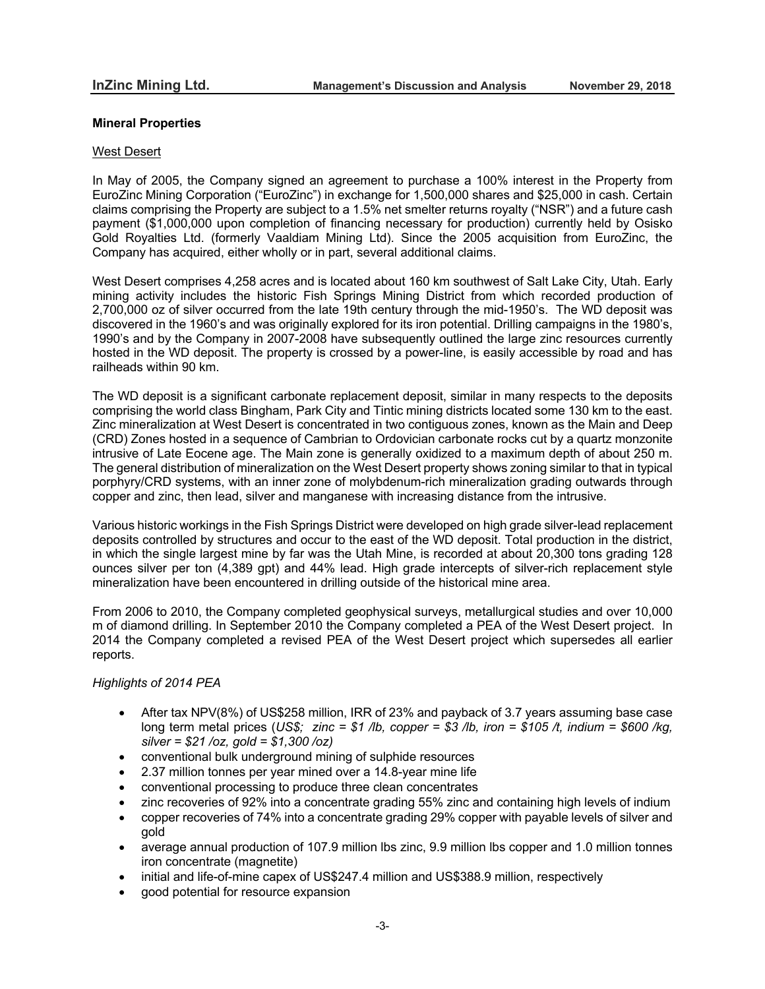### **Mineral Properties**

#### West Desert

In May of 2005, the Company signed an agreement to purchase a 100% interest in the Property from EuroZinc Mining Corporation ("EuroZinc") in exchange for 1,500,000 shares and \$25,000 in cash. Certain claims comprising the Property are subject to a 1.5% net smelter returns royalty ("NSR") and a future cash payment (\$1,000,000 upon completion of financing necessary for production) currently held by Osisko Gold Royalties Ltd. (formerly Vaaldiam Mining Ltd). Since the 2005 acquisition from EuroZinc, the Company has acquired, either wholly or in part, several additional claims.

West Desert comprises 4,258 acres and is located about 160 km southwest of Salt Lake City, Utah. Early mining activity includes the historic Fish Springs Mining District from which recorded production of 2,700,000 oz of silver occurred from the late 19th century through the mid-1950's. The WD deposit was discovered in the 1960's and was originally explored for its iron potential. Drilling campaigns in the 1980's, 1990's and by the Company in 2007-2008 have subsequently outlined the large zinc resources currently hosted in the WD deposit. The property is crossed by a power-line, is easily accessible by road and has railheads within 90 km.

The WD deposit is a significant carbonate replacement deposit, similar in many respects to the deposits comprising the world class Bingham, Park City and Tintic mining districts located some 130 km to the east. Zinc mineralization at West Desert is concentrated in two contiguous zones, known as the Main and Deep (CRD) Zones hosted in a sequence of Cambrian to Ordovician carbonate rocks cut by a quartz monzonite intrusive of Late Eocene age. The Main zone is generally oxidized to a maximum depth of about 250 m. The general distribution of mineralization on the West Desert property shows zoning similar to that in typical porphyry/CRD systems, with an inner zone of molybdenum-rich mineralization grading outwards through copper and zinc, then lead, silver and manganese with increasing distance from the intrusive.

Various historic workings in the Fish Springs District were developed on high grade silver-lead replacement deposits controlled by structures and occur to the east of the WD deposit. Total production in the district, in which the single largest mine by far was the Utah Mine, is recorded at about 20,300 tons grading 128 ounces silver per ton (4,389 gpt) and 44% lead. High grade intercepts of silver-rich replacement style mineralization have been encountered in drilling outside of the historical mine area.

From 2006 to 2010, the Company completed geophysical surveys, metallurgical studies and over 10,000 m of diamond drilling. In September 2010 the Company completed a PEA of the West Desert project. In 2014 the Company completed a revised PEA of the West Desert project which supersedes all earlier reports.

## *Highlights of 2014 PEA*

- After tax NPV(8%) of US\$258 million, IRR of 23% and payback of 3.7 years assuming base case long term metal prices (*US\$; zinc = \$1 /lb, copper = \$3 /lb, iron = \$105 /t, indium = \$600 /kg, silver = \$21 /oz, gold = \$1,300 /oz)*
- conventional bulk underground mining of sulphide resources
- 2.37 million tonnes per year mined over a 14.8-year mine life
- conventional processing to produce three clean concentrates
- zinc recoveries of 92% into a concentrate grading 55% zinc and containing high levels of indium
- copper recoveries of 74% into a concentrate grading 29% copper with payable levels of silver and gold
- average annual production of 107.9 million lbs zinc, 9.9 million lbs copper and 1.0 million tonnes iron concentrate (magnetite)
- initial and life-of-mine capex of US\$247.4 million and US\$388.9 million, respectively
- good potential for resource expansion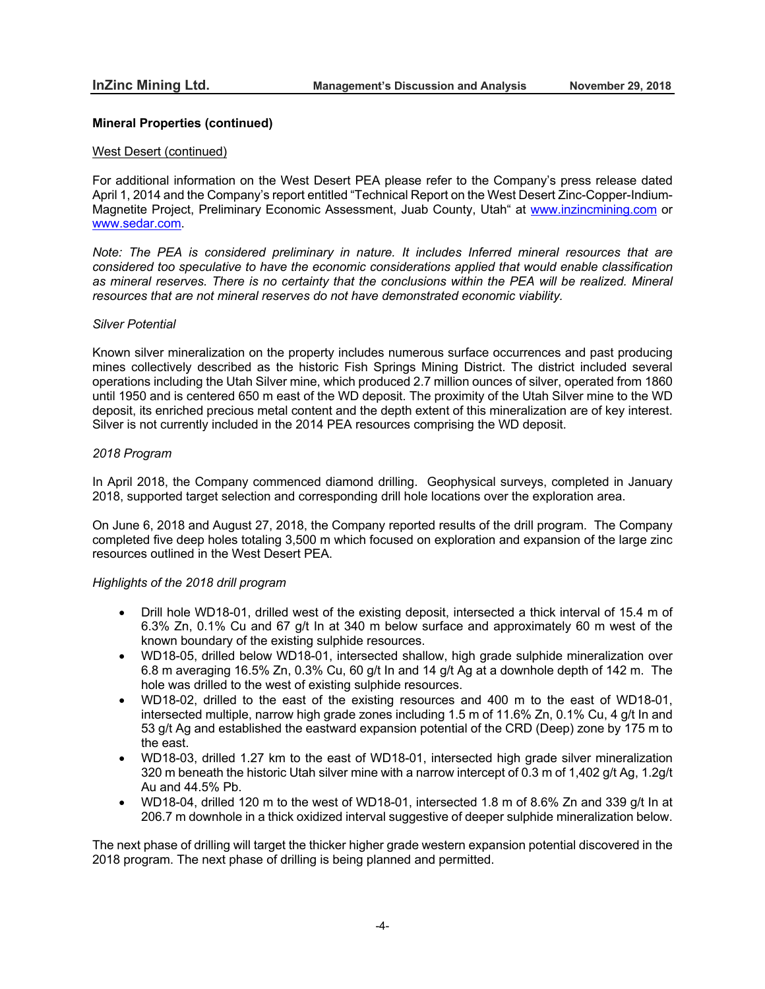### West Desert (continued)

For additional information on the West Desert PEA please refer to the Company's press release dated April 1, 2014 and the Company's report entitled "Technical Report on the West Desert Zinc-Copper-Indium-Magnetite Project, Preliminary Economic Assessment, Juab County, Utah" at www.inzincmining.com or www.sedar.com.

*Note: The PEA is considered preliminary in nature. It includes Inferred mineral resources that are considered too speculative to have the economic considerations applied that would enable classification as mineral reserves. There is no certainty that the conclusions within the PEA will be realized. Mineral resources that are not mineral reserves do not have demonstrated economic viability.*

## *Silver Potential*

Known silver mineralization on the property includes numerous surface occurrences and past producing mines collectively described as the historic Fish Springs Mining District. The district included several operations including the Utah Silver mine, which produced 2.7 million ounces of silver, operated from 1860 until 1950 and is centered 650 m east of the WD deposit. The proximity of the Utah Silver mine to the WD deposit, its enriched precious metal content and the depth extent of this mineralization are of key interest. Silver is not currently included in the 2014 PEA resources comprising the WD deposit.

## *2018 Program*

In April 2018, the Company commenced diamond drilling. Geophysical surveys, completed in January 2018, supported target selection and corresponding drill hole locations over the exploration area.

On June 6, 2018 and August 27, 2018, the Company reported results of the drill program. The Company completed five deep holes totaling 3,500 m which focused on exploration and expansion of the large zinc resources outlined in the West Desert PEA.

### *Highlights of the 2018 drill program*

- Drill hole WD18-01, drilled west of the existing deposit, intersected a thick interval of 15.4 m of 6.3% Zn, 0.1% Cu and 67 g/t In at 340 m below surface and approximately 60 m west of the known boundary of the existing sulphide resources.
- WD18-05, drilled below WD18-01, intersected shallow, high grade sulphide mineralization over 6.8 m averaging 16.5% Zn, 0.3% Cu, 60 g/t In and 14 g/t Ag at a downhole depth of 142 m. The hole was drilled to the west of existing sulphide resources.
- WD18-02, drilled to the east of the existing resources and 400 m to the east of WD18-01, intersected multiple, narrow high grade zones including 1.5 m of 11.6% Zn, 0.1% Cu, 4 g/t In and 53 g/t Ag and established the eastward expansion potential of the CRD (Deep) zone by 175 m to the east.
- WD18-03, drilled 1.27 km to the east of WD18-01, intersected high grade silver mineralization 320 m beneath the historic Utah silver mine with a narrow intercept of 0.3 m of 1,402 g/t Ag, 1.2g/t Au and 44.5% Pb.
- WD18-04, drilled 120 m to the west of WD18-01, intersected 1.8 m of 8.6% Zn and 339 g/t In at 206.7 m downhole in a thick oxidized interval suggestive of deeper sulphide mineralization below.

The next phase of drilling will target the thicker higher grade western expansion potential discovered in the 2018 program. The next phase of drilling is being planned and permitted.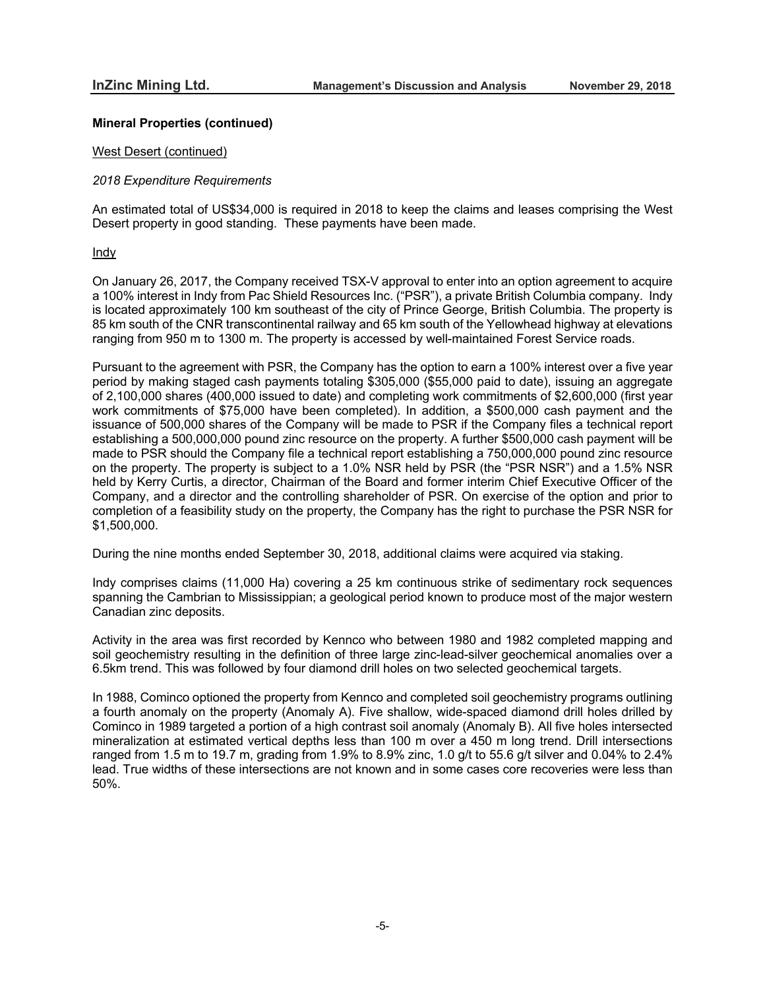#### West Desert (continued)

#### *2018 Expenditure Requirements*

An estimated total of US\$34,000 is required in 2018 to keep the claims and leases comprising the West Desert property in good standing. These payments have been made.

#### Indy

On January 26, 2017, the Company received TSX-V approval to enter into an option agreement to acquire a 100% interest in Indy from Pac Shield Resources Inc. ("PSR"), a private British Columbia company. Indy is located approximately 100 km southeast of the city of Prince George, British Columbia. The property is 85 km south of the CNR transcontinental railway and 65 km south of the Yellowhead highway at elevations ranging from 950 m to 1300 m. The property is accessed by well-maintained Forest Service roads.

Pursuant to the agreement with PSR, the Company has the option to earn a 100% interest over a five year period by making staged cash payments totaling \$305,000 (\$55,000 paid to date), issuing an aggregate of 2,100,000 shares (400,000 issued to date) and completing work commitments of \$2,600,000 (first year work commitments of \$75,000 have been completed). In addition, a \$500,000 cash payment and the issuance of 500,000 shares of the Company will be made to PSR if the Company files a technical report establishing a 500,000,000 pound zinc resource on the property. A further \$500,000 cash payment will be made to PSR should the Company file a technical report establishing a 750,000,000 pound zinc resource on the property. The property is subject to a 1.0% NSR held by PSR (the "PSR NSR") and a 1.5% NSR held by Kerry Curtis, a director, Chairman of the Board and former interim Chief Executive Officer of the Company, and a director and the controlling shareholder of PSR. On exercise of the option and prior to completion of a feasibility study on the property, the Company has the right to purchase the PSR NSR for \$1,500,000.

During the nine months ended September 30, 2018, additional claims were acquired via staking.

Indy comprises claims (11,000 Ha) covering a 25 km continuous strike of sedimentary rock sequences spanning the Cambrian to Mississippian; a geological period known to produce most of the major western Canadian zinc deposits.

Activity in the area was first recorded by Kennco who between 1980 and 1982 completed mapping and soil geochemistry resulting in the definition of three large zinc-lead-silver geochemical anomalies over a 6.5km trend. This was followed by four diamond drill holes on two selected geochemical targets.

In 1988, Cominco optioned the property from Kennco and completed soil geochemistry programs outlining a fourth anomaly on the property (Anomaly A). Five shallow, wide-spaced diamond drill holes drilled by Cominco in 1989 targeted a portion of a high contrast soil anomaly (Anomaly B). All five holes intersected mineralization at estimated vertical depths less than 100 m over a 450 m long trend. Drill intersections ranged from 1.5 m to 19.7 m, grading from 1.9% to 8.9% zinc, 1.0 g/t to 55.6 g/t silver and 0.04% to 2.4% lead. True widths of these intersections are not known and in some cases core recoveries were less than 50%.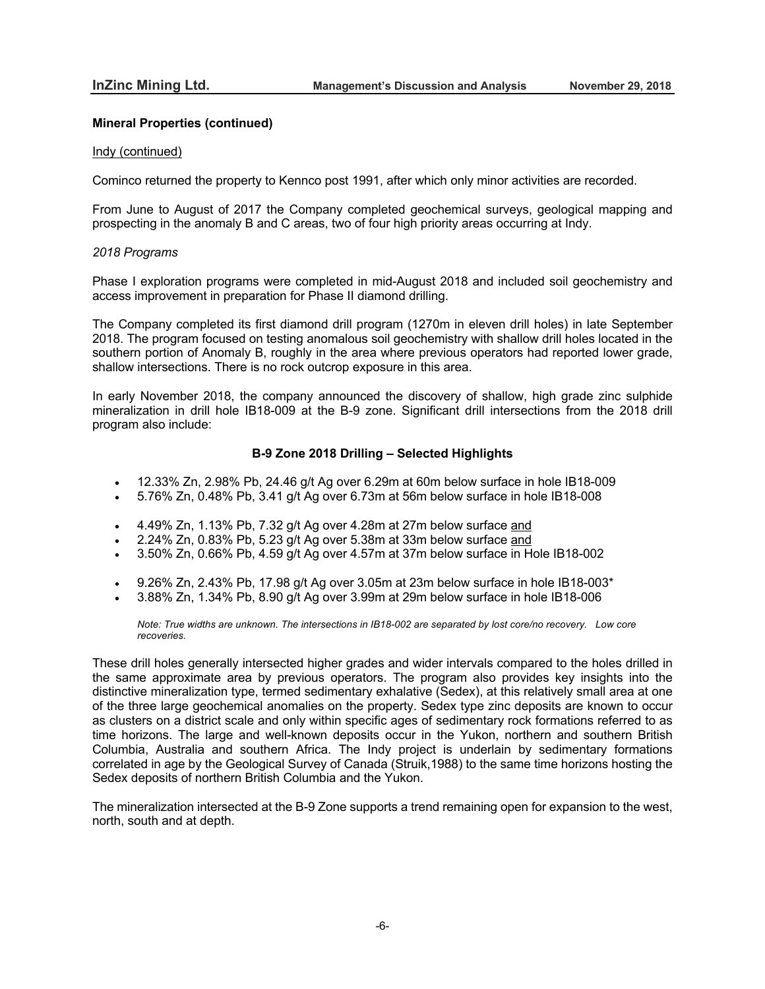#### Indy (continued)

Cominco returned the property to Kennco post 1991, after which only minor activities are recorded.

From June to August of 2017 the Company completed geochemical surveys, geological mapping and prospecting in the anomaly B and C areas, two of four high priority areas occurring at Indy.

#### *2018 Programs*

Phase I exploration programs were completed in mid-August 2018 and included soil geochemistry and access improvement in preparation for Phase II diamond drilling.

The Company completed its first diamond drill program (1270m in eleven drill holes) in late September 2018. The program focused on testing anomalous soil geochemistry with shallow drill holes located in the southern portion of Anomaly B, roughly in the area where previous operators had reported lower grade, shallow intersections. There is no rock outcrop exposure in this area.

In early November 2018, the company announced the discovery of shallow, high grade zinc sulphide mineralization in drill hole IB18-009 at the B-9 zone. Significant drill intersections from the 2018 drill program also include:

# **B-9 Zone 2018 Drilling – Selected Highlights**

- $\bullet$  12.33% Zn, 2.98% Pb, 24.46 g/t Ag over 6.29m at 60m below surface in hole IB18-009
- 5.76% Zn, 0.48% Pb, 3.41 g/t Ag over 6.73m at 56m below surface in hole IB18-008
- 4.49% Zn, 1.13% Pb, 7.32 g/t Ag over 4.28m at 27m below surface and
- 2.24% Zn, 0.83% Pb, 5.23 g/t Ag over 5.38m at 33m below surface and
- 3.50% Zn, 0.66% Pb, 4.59 g/t Ag over 4.57m at 37m below surface in Hole IB18-002
- 9.26% Zn, 2.43% Pb, 17.98 g/t Ag over 3.05m at 23m below surface in hole IB18-003\*
- 3.88% Zn, 1.34% Pb, 8.90 g/t Ag over 3.99m at 29m below surface in hole IB18-006

*Note: True widths are unknown. The intersections in IB18-002 are separated by lost core/no recovery. Low core recoveries.*

These drill holes generally intersected higher grades and wider intervals compared to the holes drilled in the same approximate area by previous operators. The program also provides key insights into the distinctive mineralization type, termed sedimentary exhalative (Sedex), at this relatively small area at one of the three large geochemical anomalies on the property. Sedex type zinc deposits are known to occur as clusters on a district scale and only within specific ages of sedimentary rock formations referred to as time horizons. The large and well-known deposits occur in the Yukon, northern and southern British Columbia, Australia and southern Africa. The Indy project is underlain by sedimentary formations correlated in age by the Geological Survey of Canada (Struik,1988) to the same time horizons hosting the Sedex deposits of northern British Columbia and the Yukon.

The mineralization intersected at the B-9 Zone supports a trend remaining open for expansion to the west, north, south and at depth.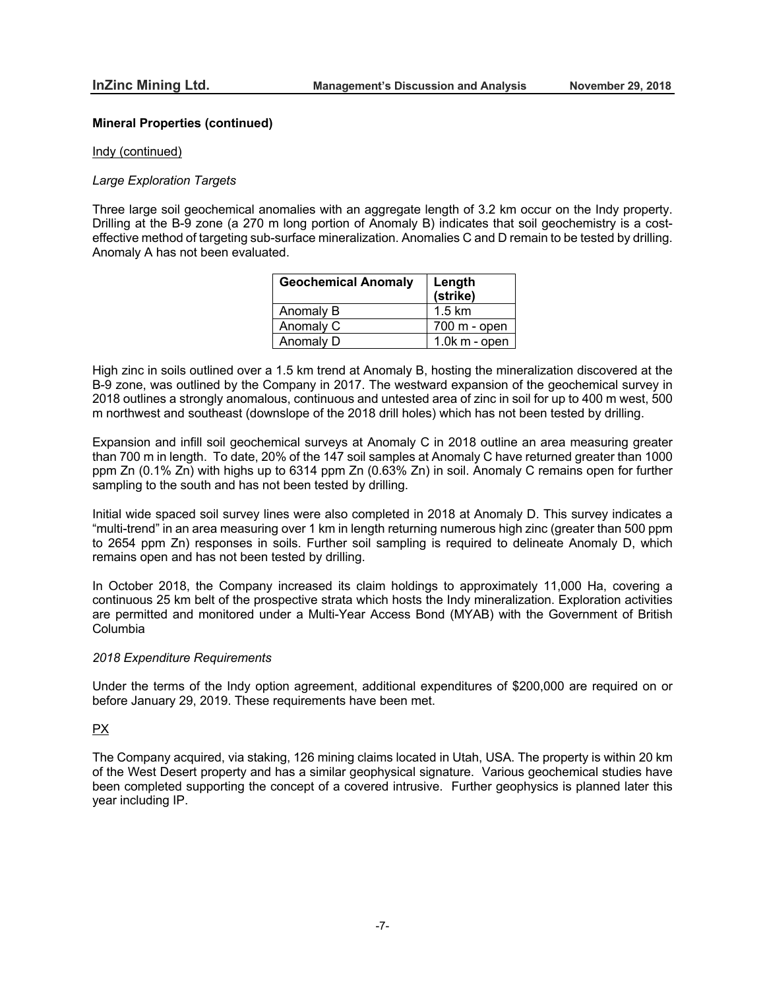#### Indy (continued)

### *Large Exploration Targets*

Three large soil geochemical anomalies with an aggregate length of 3.2 km occur on the Indy property. Drilling at the B-9 zone (a 270 m long portion of Anomaly B) indicates that soil geochemistry is a costeffective method of targeting sub-surface mineralization. Anomalies C and D remain to be tested by drilling. Anomaly A has not been evaluated.

| <b>Geochemical Anomaly</b> | Length<br>(strike) |
|----------------------------|--------------------|
| Anomaly B                  | $1.5 \text{ km}$   |
| Anomaly C                  | $700 m - open$     |
| Anomaly D                  | $1.0k$ m - open    |

High zinc in soils outlined over a 1.5 km trend at Anomaly B, hosting the mineralization discovered at the B-9 zone, was outlined by the Company in 2017. The westward expansion of the geochemical survey in 2018 outlines a strongly anomalous, continuous and untested area of zinc in soil for up to 400 m west, 500 m northwest and southeast (downslope of the 2018 drill holes) which has not been tested by drilling.

Expansion and infill soil geochemical surveys at Anomaly C in 2018 outline an area measuring greater than 700 m in length. To date, 20% of the 147 soil samples at Anomaly C have returned greater than 1000 ppm Zn (0.1% Zn) with highs up to 6314 ppm Zn (0.63% Zn) in soil. Anomaly C remains open for further sampling to the south and has not been tested by drilling.

Initial wide spaced soil survey lines were also completed in 2018 at Anomaly D. This survey indicates a "multi-trend" in an area measuring over 1 km in length returning numerous high zinc (greater than 500 ppm to 2654 ppm Zn) responses in soils. Further soil sampling is required to delineate Anomaly D, which remains open and has not been tested by drilling.

In October 2018, the Company increased its claim holdings to approximately 11,000 Ha, covering a continuous 25 km belt of the prospective strata which hosts the Indy mineralization. Exploration activities are permitted and monitored under a Multi-Year Access Bond (MYAB) with the Government of British Columbia

#### *2018 Expenditure Requirements*

Under the terms of the Indy option agreement, additional expenditures of \$200,000 are required on or before January 29, 2019. These requirements have been met.

## PX

The Company acquired, via staking, 126 mining claims located in Utah, USA. The property is within 20 km of the West Desert property and has a similar geophysical signature. Various geochemical studies have been completed supporting the concept of a covered intrusive. Further geophysics is planned later this year including IP.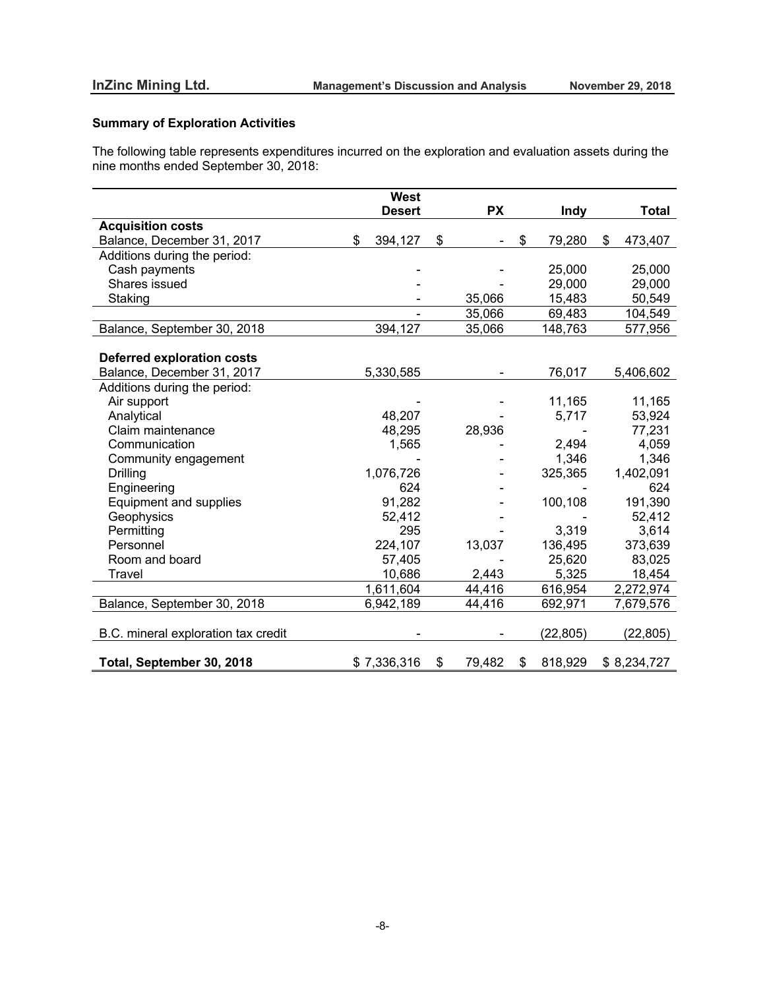# **Summary of Exploration Activities**

The following table represents expenditures incurred on the exploration and evaluation assets during the nine months ended September 30, 2018:

|                                     | <b>West</b>   |              |               |               |
|-------------------------------------|---------------|--------------|---------------|---------------|
|                                     | <b>Desert</b> | <b>PX</b>    | Indy          | <b>Total</b>  |
| <b>Acquisition costs</b>            |               |              |               |               |
| Balance, December 31, 2017          | \$<br>394,127 | \$           | \$<br>79,280  | \$<br>473,407 |
| Additions during the period:        |               |              |               |               |
| Cash payments                       |               |              | 25,000        | 25,000        |
| Shares issued                       |               |              | 29,000        | 29,000        |
| Staking                             |               | 35,066       | 15,483        | 50,549        |
|                                     |               | 35,066       | 69,483        | 104,549       |
| Balance, September 30, 2018         | 394,127       | 35,066       | 148,763       | 577,956       |
|                                     |               |              |               |               |
| <b>Deferred exploration costs</b>   |               |              |               |               |
| Balance, December 31, 2017          | 5,330,585     |              | 76,017        | 5,406,602     |
| Additions during the period:        |               |              |               |               |
| Air support                         |               |              | 11,165        | 11,165        |
| Analytical                          | 48,207        |              | 5,717         | 53,924        |
| Claim maintenance                   | 48,295        | 28,936       |               | 77,231        |
| Communication                       | 1,565         |              | 2,494         | 4,059         |
| Community engagement                |               |              | 1,346         | 1,346         |
| <b>Drilling</b>                     | 1,076,726     |              | 325,365       | 1,402,091     |
| Engineering                         | 624           |              |               | 624           |
| Equipment and supplies              | 91,282        |              | 100,108       | 191,390       |
| Geophysics                          | 52,412        |              |               | 52,412        |
| Permitting                          | 295           |              | 3,319         | 3,614         |
| Personnel                           | 224,107       | 13,037       | 136,495       | 373,639       |
| Room and board                      | 57,405        |              | 25,620        | 83,025        |
| Travel                              | 10,686        | 2,443        | 5,325         | 18,454        |
|                                     | 1,611,604     | 44,416       | 616,954       | 2,272,974     |
| Balance, September 30, 2018         | 6,942,189     | 44,416       | 692,971       | 7,679,576     |
|                                     |               |              |               |               |
| B.C. mineral exploration tax credit |               |              | (22, 805)     | (22, 805)     |
|                                     |               |              |               |               |
| Total, September 30, 2018           | \$7,336,316   | \$<br>79,482 | \$<br>818,929 | \$8,234,727   |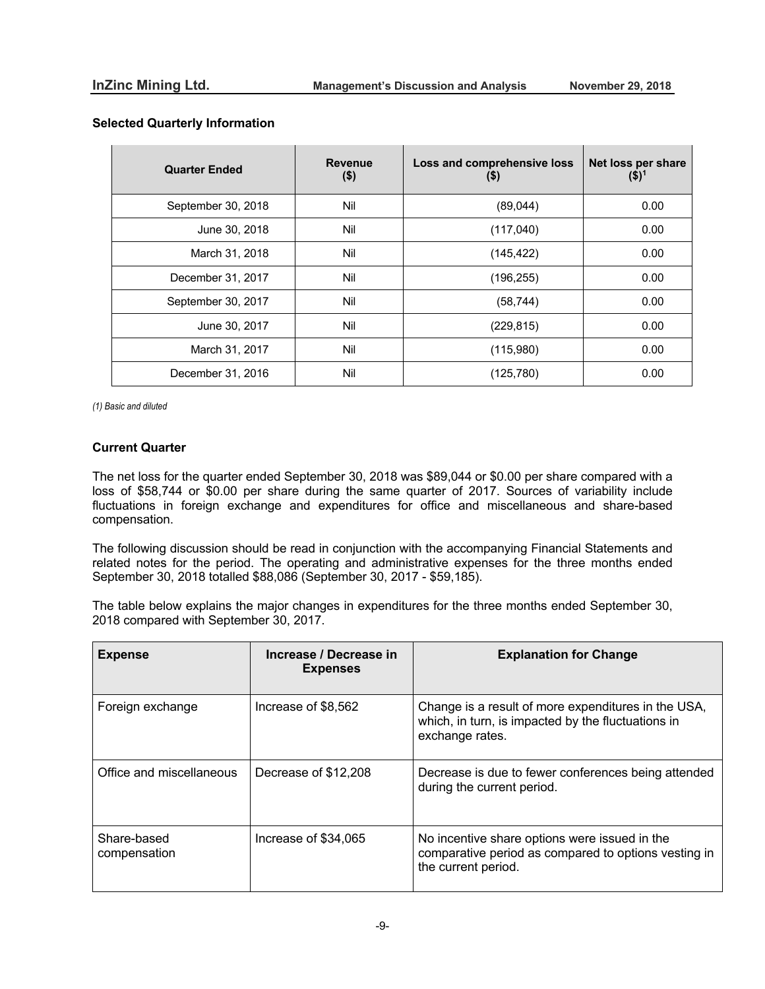| <b>Quarter Ended</b> | <b>Revenue</b><br>$($ \$) | Loss and comprehensive loss<br>(9) | Net loss per share<br>$($ \$) <sup>1</sup> |
|----------------------|---------------------------|------------------------------------|--------------------------------------------|
| September 30, 2018   | Nil                       | (89,044)                           | 0.00                                       |
| June 30, 2018        | Nil                       | (117,040)                          | 0.00                                       |
| March 31, 2018       | Nil                       | (145, 422)                         | 0.00                                       |
| December 31, 2017    | Nil                       | (196, 255)                         | 0.00                                       |
| September 30, 2017   | Nil                       | (58, 744)                          | 0.00                                       |
| June 30, 2017        | Nil                       | (229, 815)                         | 0.00                                       |
| March 31, 2017       | Nil                       | (115,980)                          | 0.00                                       |
| December 31, 2016    | Nil                       | (125, 780)                         | 0.00                                       |

## **Selected Quarterly Information**

*(1) Basic and diluted*

## **Current Quarter**

The net loss for the quarter ended September 30, 2018 was \$89,044 or \$0.00 per share compared with a loss of \$58,744 or \$0.00 per share during the same quarter of 2017. Sources of variability include fluctuations in foreign exchange and expenditures for office and miscellaneous and share-based compensation.

The following discussion should be read in conjunction with the accompanying Financial Statements and related notes for the period. The operating and administrative expenses for the three months ended September 30, 2018 totalled \$88,086 (September 30, 2017 - \$59,185).

The table below explains the major changes in expenditures for the three months ended September 30, 2018 compared with September 30, 2017.

| <b>Expense</b>              | Increase / Decrease in<br><b>Expenses</b> | <b>Explanation for Change</b>                                                                                                |
|-----------------------------|-------------------------------------------|------------------------------------------------------------------------------------------------------------------------------|
| Foreign exchange            | Increase of \$8,562                       | Change is a result of more expenditures in the USA,<br>which, in turn, is impacted by the fluctuations in<br>exchange rates. |
| Office and miscellaneous    | Decrease of \$12,208                      | Decrease is due to fewer conferences being attended<br>during the current period.                                            |
| Share-based<br>compensation | Increase of \$34,065                      | No incentive share options were issued in the<br>comparative period as compared to options vesting in<br>the current period. |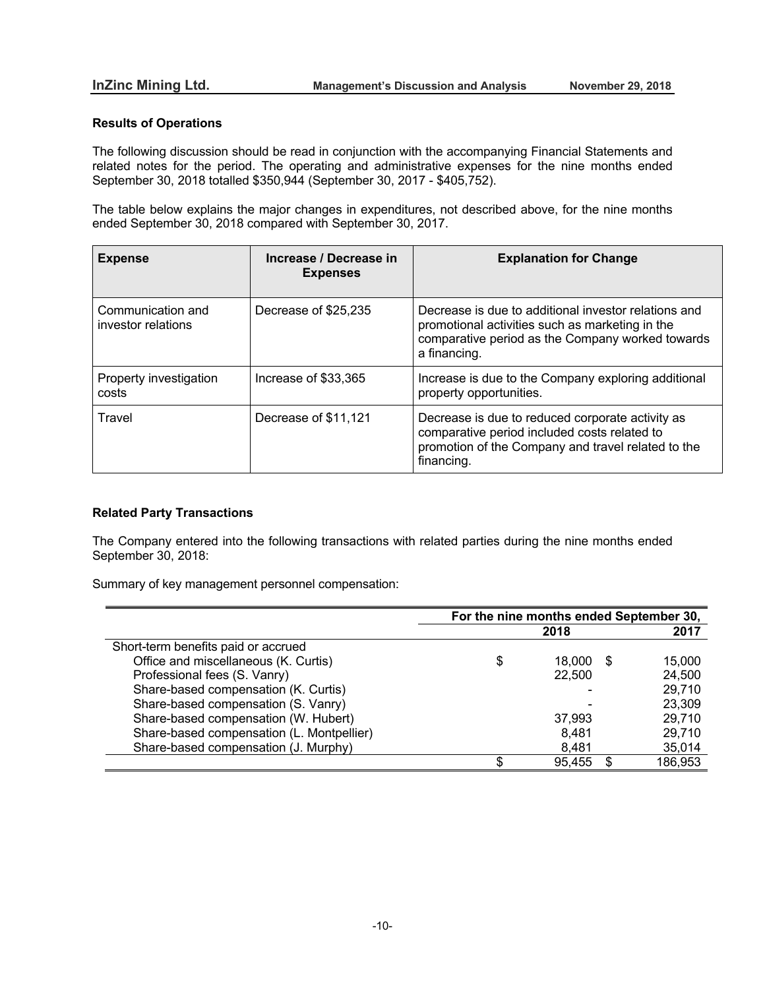# **Results of Operations**

 $\overline{a}$ 

The following discussion should be read in conjunction with the accompanying Financial Statements and related notes for the period. The operating and administrative expenses for the nine months ended September 30, 2018 totalled \$350,944 (September 30, 2017 - \$405,752).

The table below explains the major changes in expenditures, not described above, for the nine months ended September 30, 2018 compared with September 30, 2017.

| <b>Expense</b>                          | Increase / Decrease in<br><b>Expenses</b> | <b>Explanation for Change</b>                                                                                                                                               |
|-----------------------------------------|-------------------------------------------|-----------------------------------------------------------------------------------------------------------------------------------------------------------------------------|
| Communication and<br>investor relations | Decrease of \$25,235                      | Decrease is due to additional investor relations and<br>promotional activities such as marketing in the<br>comparative period as the Company worked towards<br>a financing. |
| Property investigation<br>costs         | Increase of \$33,365                      | Increase is due to the Company exploring additional<br>property opportunities.                                                                                              |
| Travel                                  | Decrease of \$11,121                      | Decrease is due to reduced corporate activity as<br>comparative period included costs related to<br>promotion of the Company and travel related to the<br>financing.        |

# **Related Party Transactions**

The Company entered into the following transactions with related parties during the nine months ended September 30, 2018:

Summary of key management personnel compensation:

|                                           | For the nine months ended September 30, |        |   |         |
|-------------------------------------------|-----------------------------------------|--------|---|---------|
|                                           |                                         | 2018   |   | 2017    |
| Short-term benefits paid or accrued       |                                         |        |   |         |
| Office and miscellaneous (K. Curtis)      |                                         | 18.000 | S | 15,000  |
| Professional fees (S. Vanry)              |                                         | 22,500 |   | 24,500  |
| Share-based compensation (K. Curtis)      |                                         |        |   | 29,710  |
| Share-based compensation (S. Vanry)       |                                         |        |   | 23,309  |
| Share-based compensation (W. Hubert)      |                                         | 37,993 |   | 29,710  |
| Share-based compensation (L. Montpellier) |                                         | 8,481  |   | 29,710  |
| Share-based compensation (J. Murphy)      |                                         | 8,481  |   | 35,014  |
|                                           |                                         | 95,455 |   | 186,953 |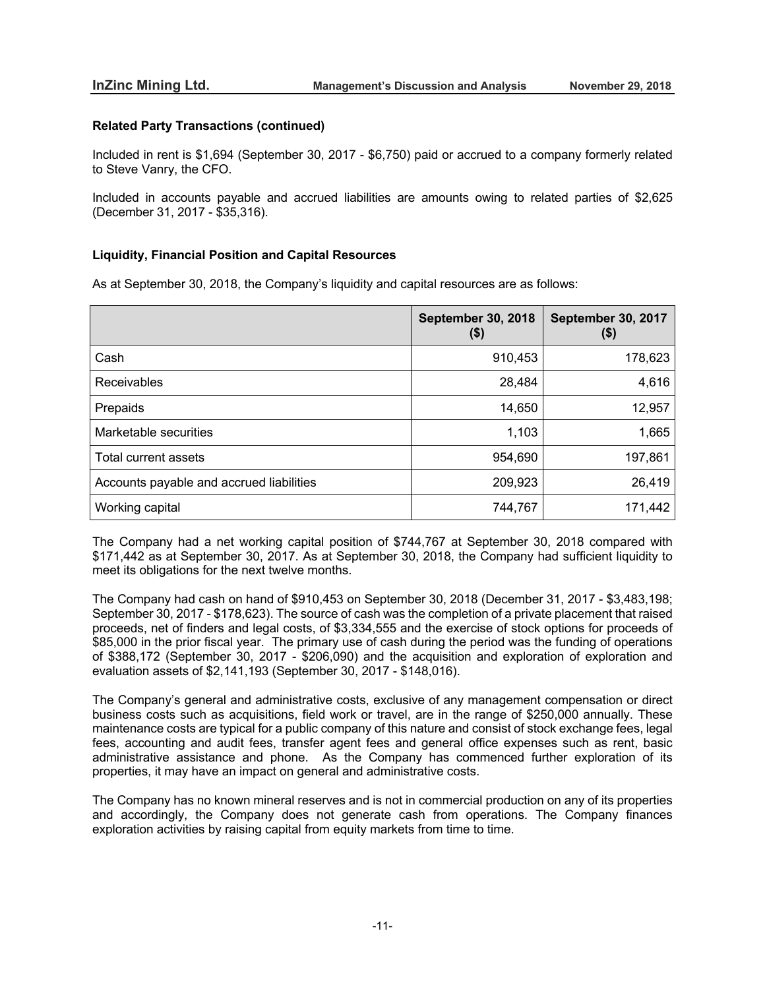## **Related Party Transactions (continued)**

Included in rent is \$1,694 (September 30, 2017 - \$6,750) paid or accrued to a company formerly related to Steve Vanry, the CFO.

Included in accounts payable and accrued liabilities are amounts owing to related parties of \$2,625 (December 31, 2017 - \$35,316).

## **Liquidity, Financial Position and Capital Resources**

As at September 30, 2018, the Company's liquidity and capital resources are as follows:

|                                          | <b>September 30, 2018</b><br>$($ \$) | September 30, 2017<br>$(\$)$ |
|------------------------------------------|--------------------------------------|------------------------------|
| Cash                                     | 910,453                              | 178,623                      |
| Receivables                              | 28,484                               | 4,616                        |
| Prepaids                                 | 14,650                               | 12,957                       |
| Marketable securities                    | 1,103                                | 1,665                        |
| Total current assets                     | 954,690                              | 197,861                      |
| Accounts payable and accrued liabilities | 209,923                              | 26,419                       |
| Working capital                          | 744,767                              | 171,442                      |

The Company had a net working capital position of \$744,767 at September 30, 2018 compared with \$171,442 as at September 30, 2017. As at September 30, 2018, the Company had sufficient liquidity to meet its obligations for the next twelve months.

The Company had cash on hand of \$910,453 on September 30, 2018 (December 31, 2017 - \$3,483,198; September 30, 2017 - \$178,623). The source of cash was the completion of a private placement that raised proceeds, net of finders and legal costs, of \$3,334,555 and the exercise of stock options for proceeds of \$85,000 in the prior fiscal year. The primary use of cash during the period was the funding of operations of \$388,172 (September 30, 2017 - \$206,090) and the acquisition and exploration of exploration and evaluation assets of \$2,141,193 (September 30, 2017 - \$148,016).

The Company's general and administrative costs, exclusive of any management compensation or direct business costs such as acquisitions, field work or travel, are in the range of \$250,000 annually. These maintenance costs are typical for a public company of this nature and consist of stock exchange fees, legal fees, accounting and audit fees, transfer agent fees and general office expenses such as rent, basic administrative assistance and phone. As the Company has commenced further exploration of its properties, it may have an impact on general and administrative costs.

The Company has no known mineral reserves and is not in commercial production on any of its properties and accordingly, the Company does not generate cash from operations. The Company finances exploration activities by raising capital from equity markets from time to time.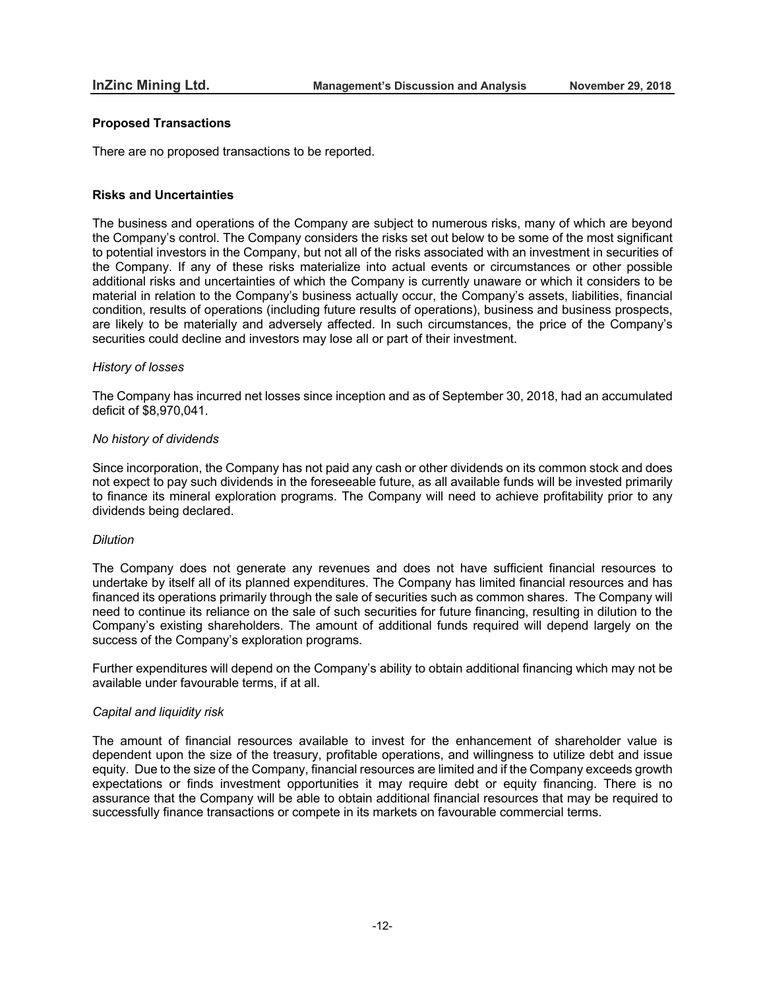#### **Proposed Transactions**

There are no proposed transactions to be reported.

#### **Risks and Uncertainties**

The business and operations of the Company are subject to numerous risks, many of which are beyond the Company's control. The Company considers the risks set out below to be some of the most significant to potential investors in the Company, but not all of the risks associated with an investment in securities of the Company. If any of these risks materialize into actual events or circumstances or other possible additional risks and uncertainties of which the Company is currently unaware or which it considers to be material in relation to the Company's business actually occur, the Company's assets, liabilities, financial condition, results of operations (including future results of operations), business and business prospects, are likely to be materially and adversely affected. In such circumstances, the price of the Company's securities could decline and investors may lose all or part of their investment.

#### *History of losses*

The Company has incurred net losses since inception and as of September 30, 2018, had an accumulated deficit of \$8,970,041.

#### *No history of dividends*

Since incorporation, the Company has not paid any cash or other dividends on its common stock and does not expect to pay such dividends in the foreseeable future, as all available funds will be invested primarily to finance its mineral exploration programs. The Company will need to achieve profitability prior to any dividends being declared.

#### *Dilution*

The Company does not generate any revenues and does not have sufficient financial resources to undertake by itself all of its planned expenditures. The Company has limited financial resources and has financed its operations primarily through the sale of securities such as common shares. The Company will need to continue its reliance on the sale of such securities for future financing, resulting in dilution to the Company's existing shareholders. The amount of additional funds required will depend largely on the success of the Company's exploration programs.

Further expenditures will depend on the Company's ability to obtain additional financing which may not be available under favourable terms, if at all.

#### *Capital and liquidity risk*

The amount of financial resources available to invest for the enhancement of shareholder value is dependent upon the size of the treasury, profitable operations, and willingness to utilize debt and issue equity. Due to the size of the Company, financial resources are limited and if the Company exceeds growth expectations or finds investment opportunities it may require debt or equity financing. There is no assurance that the Company will be able to obtain additional financial resources that may be required to successfully finance transactions or compete in its markets on favourable commercial terms.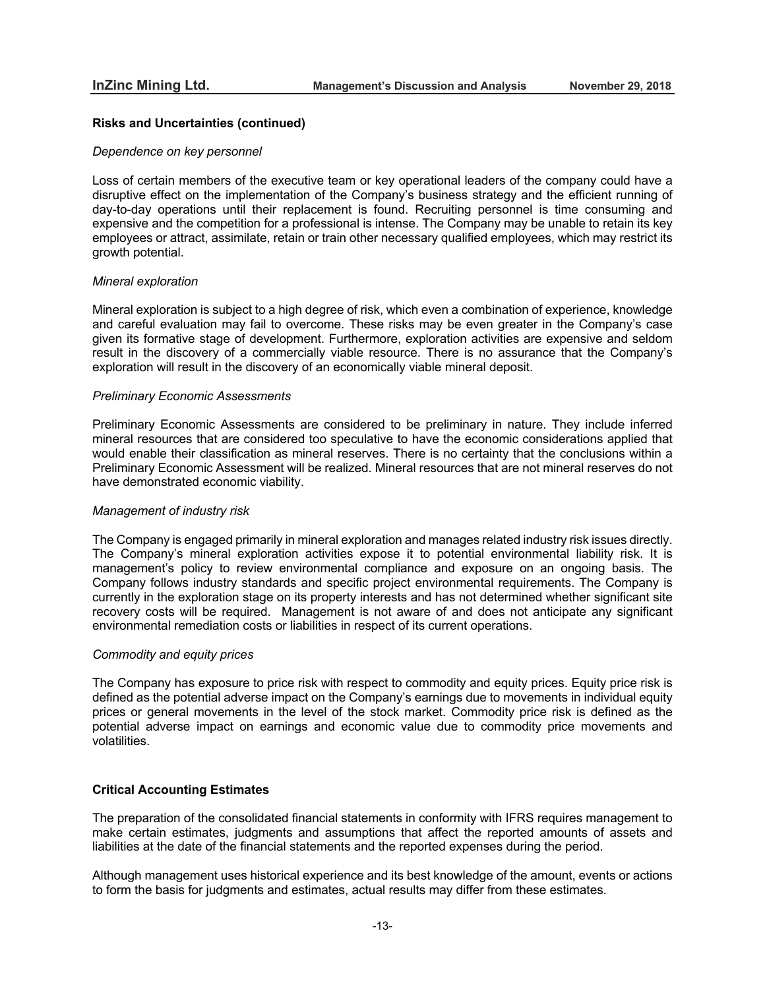### **Risks and Uncertainties (continued)**

#### *Dependence on key personnel*

Loss of certain members of the executive team or key operational leaders of the company could have a disruptive effect on the implementation of the Company's business strategy and the efficient running of day-to-day operations until their replacement is found. Recruiting personnel is time consuming and expensive and the competition for a professional is intense. The Company may be unable to retain its key employees or attract, assimilate, retain or train other necessary qualified employees, which may restrict its growth potential.

## *Mineral exploration*

Mineral exploration is subject to a high degree of risk, which even a combination of experience, knowledge and careful evaluation may fail to overcome. These risks may be even greater in the Company's case given its formative stage of development. Furthermore, exploration activities are expensive and seldom result in the discovery of a commercially viable resource. There is no assurance that the Company's exploration will result in the discovery of an economically viable mineral deposit.

#### *Preliminary Economic Assessments*

Preliminary Economic Assessments are considered to be preliminary in nature. They include inferred mineral resources that are considered too speculative to have the economic considerations applied that would enable their classification as mineral reserves. There is no certainty that the conclusions within a Preliminary Economic Assessment will be realized. Mineral resources that are not mineral reserves do not have demonstrated economic viability.

#### *Management of industry risk*

The Company is engaged primarily in mineral exploration and manages related industry risk issues directly. The Company's mineral exploration activities expose it to potential environmental liability risk. It is management's policy to review environmental compliance and exposure on an ongoing basis. The Company follows industry standards and specific project environmental requirements. The Company is currently in the exploration stage on its property interests and has not determined whether significant site recovery costs will be required. Management is not aware of and does not anticipate any significant environmental remediation costs or liabilities in respect of its current operations.

#### *Commodity and equity prices*

The Company has exposure to price risk with respect to commodity and equity prices. Equity price risk is defined as the potential adverse impact on the Company's earnings due to movements in individual equity prices or general movements in the level of the stock market. Commodity price risk is defined as the potential adverse impact on earnings and economic value due to commodity price movements and volatilities.

### **Critical Accounting Estimates**

The preparation of the consolidated financial statements in conformity with IFRS requires management to make certain estimates, judgments and assumptions that affect the reported amounts of assets and liabilities at the date of the financial statements and the reported expenses during the period.

Although management uses historical experience and its best knowledge of the amount, events or actions to form the basis for judgments and estimates, actual results may differ from these estimates.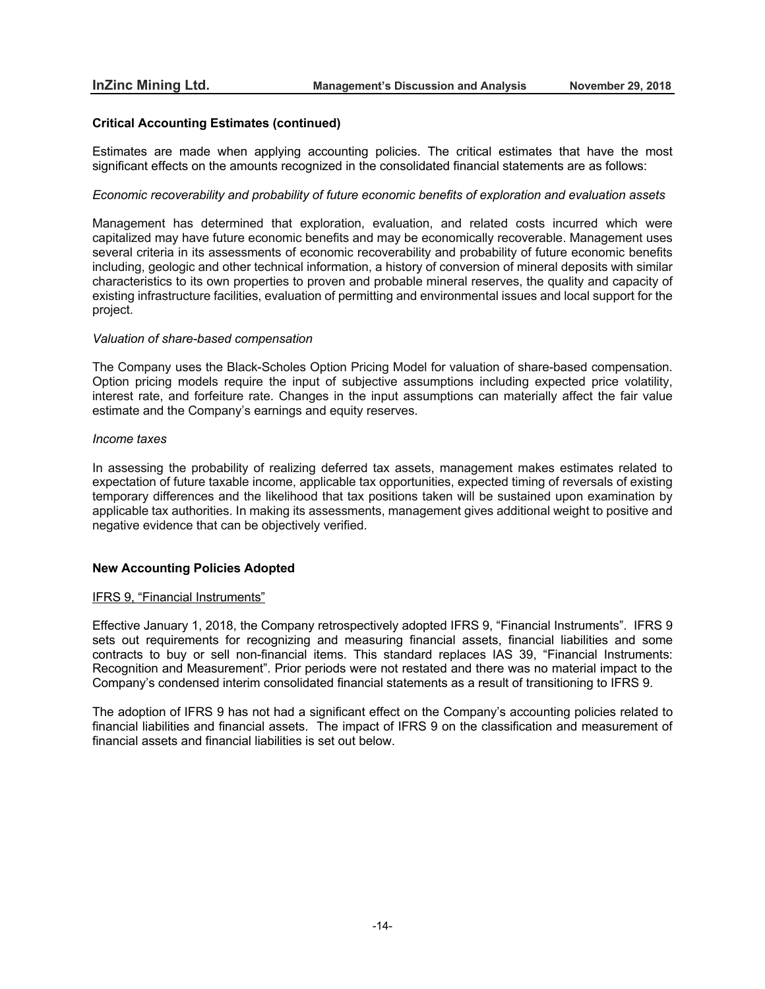## **Critical Accounting Estimates (continued)**

Estimates are made when applying accounting policies. The critical estimates that have the most significant effects on the amounts recognized in the consolidated financial statements are as follows:

#### *Economic recoverability and probability of future economic benefits of exploration and evaluation assets*

Management has determined that exploration, evaluation, and related costs incurred which were capitalized may have future economic benefits and may be economically recoverable. Management uses several criteria in its assessments of economic recoverability and probability of future economic benefits including, geologic and other technical information, a history of conversion of mineral deposits with similar characteristics to its own properties to proven and probable mineral reserves, the quality and capacity of existing infrastructure facilities, evaluation of permitting and environmental issues and local support for the project.

#### *Valuation of share-based compensation*

The Company uses the Black-Scholes Option Pricing Model for valuation of share-based compensation. Option pricing models require the input of subjective assumptions including expected price volatility, interest rate, and forfeiture rate. Changes in the input assumptions can materially affect the fair value estimate and the Company's earnings and equity reserves.

## *Income taxes*

In assessing the probability of realizing deferred tax assets, management makes estimates related to expectation of future taxable income, applicable tax opportunities, expected timing of reversals of existing temporary differences and the likelihood that tax positions taken will be sustained upon examination by applicable tax authorities. In making its assessments, management gives additional weight to positive and negative evidence that can be objectively verified.

## **New Accounting Policies Adopted**

#### IFRS 9, "Financial Instruments"

Effective January 1, 2018, the Company retrospectively adopted IFRS 9, "Financial Instruments". IFRS 9 sets out requirements for recognizing and measuring financial assets, financial liabilities and some contracts to buy or sell non-financial items. This standard replaces IAS 39, "Financial Instruments: Recognition and Measurement". Prior periods were not restated and there was no material impact to the Company's condensed interim consolidated financial statements as a result of transitioning to IFRS 9.

The adoption of IFRS 9 has not had a significant effect on the Company's accounting policies related to financial liabilities and financial assets. The impact of IFRS 9 on the classification and measurement of financial assets and financial liabilities is set out below.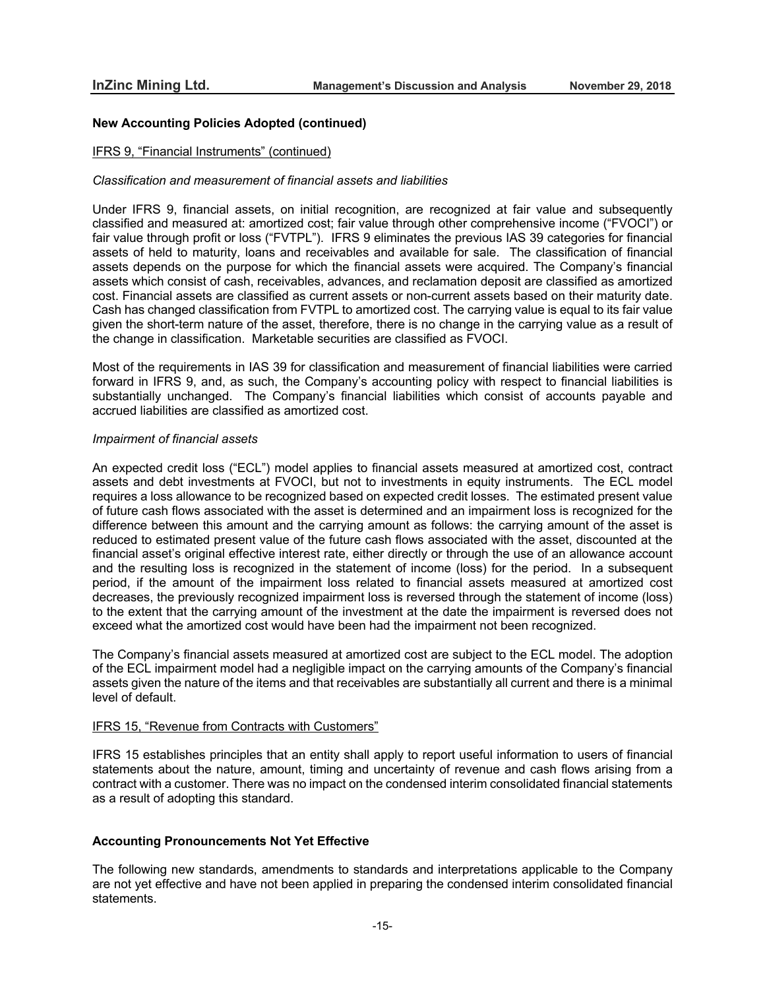### **New Accounting Policies Adopted (continued)**

#### IFRS 9, "Financial Instruments" (continued)

#### *Classification and measurement of financial assets and liabilities*

Under IFRS 9, financial assets, on initial recognition, are recognized at fair value and subsequently classified and measured at: amortized cost; fair value through other comprehensive income ("FVOCI") or fair value through profit or loss ("FVTPL"). IFRS 9 eliminates the previous IAS 39 categories for financial assets of held to maturity, loans and receivables and available for sale. The classification of financial assets depends on the purpose for which the financial assets were acquired. The Company's financial assets which consist of cash, receivables, advances, and reclamation deposit are classified as amortized cost. Financial assets are classified as current assets or non-current assets based on their maturity date. Cash has changed classification from FVTPL to amortized cost. The carrying value is equal to its fair value given the short-term nature of the asset, therefore, there is no change in the carrying value as a result of the change in classification. Marketable securities are classified as FVOCI.

Most of the requirements in IAS 39 for classification and measurement of financial liabilities were carried forward in IFRS 9, and, as such, the Company's accounting policy with respect to financial liabilities is substantially unchanged. The Company's financial liabilities which consist of accounts payable and accrued liabilities are classified as amortized cost.

#### *Impairment of financial assets*

An expected credit loss ("ECL") model applies to financial assets measured at amortized cost, contract assets and debt investments at FVOCI, but not to investments in equity instruments. The ECL model requires a loss allowance to be recognized based on expected credit losses. The estimated present value of future cash flows associated with the asset is determined and an impairment loss is recognized for the difference between this amount and the carrying amount as follows: the carrying amount of the asset is reduced to estimated present value of the future cash flows associated with the asset, discounted at the financial asset's original effective interest rate, either directly or through the use of an allowance account and the resulting loss is recognized in the statement of income (loss) for the period. In a subsequent period, if the amount of the impairment loss related to financial assets measured at amortized cost decreases, the previously recognized impairment loss is reversed through the statement of income (loss) to the extent that the carrying amount of the investment at the date the impairment is reversed does not exceed what the amortized cost would have been had the impairment not been recognized.

The Company's financial assets measured at amortized cost are subject to the ECL model. The adoption of the ECL impairment model had a negligible impact on the carrying amounts of the Company's financial assets given the nature of the items and that receivables are substantially all current and there is a minimal level of default.

#### IFRS 15, "Revenue from Contracts with Customers"

IFRS 15 establishes principles that an entity shall apply to report useful information to users of financial statements about the nature, amount, timing and uncertainty of revenue and cash flows arising from a contract with a customer. There was no impact on the condensed interim consolidated financial statements as a result of adopting this standard.

## **Accounting Pronouncements Not Yet Effective**

The following new standards, amendments to standards and interpretations applicable to the Company are not yet effective and have not been applied in preparing the condensed interim consolidated financial statements.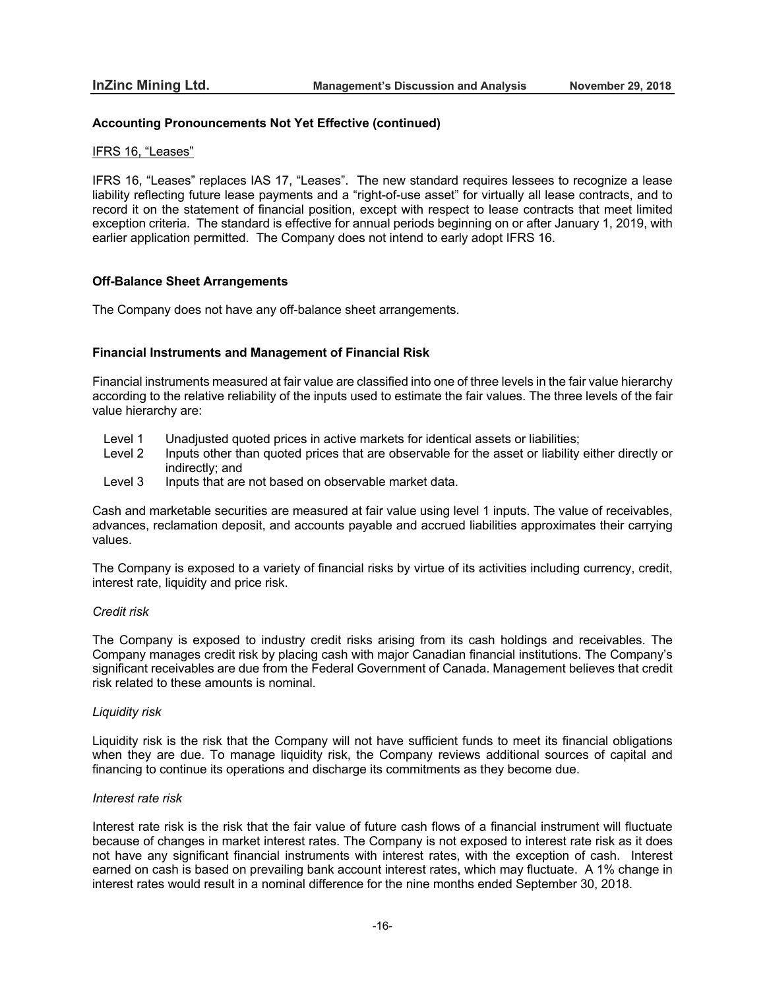## **Accounting Pronouncements Not Yet Effective (continued)**

#### IFRS 16, "Leases"

IFRS 16, "Leases" replaces IAS 17, "Leases". The new standard requires lessees to recognize a lease liability reflecting future lease payments and a "right-of-use asset" for virtually all lease contracts, and to record it on the statement of financial position, except with respect to lease contracts that meet limited exception criteria. The standard is effective for annual periods beginning on or after January 1, 2019, with earlier application permitted. The Company does not intend to early adopt IFRS 16.

## **Off-Balance Sheet Arrangements**

The Company does not have any off-balance sheet arrangements.

## **Financial Instruments and Management of Financial Risk**

Financial instruments measured at fair value are classified into one of three levels in the fair value hierarchy according to the relative reliability of the inputs used to estimate the fair values. The three levels of the fair value hierarchy are:

- Level 1 Unadjusted quoted prices in active markets for identical assets or liabilities;<br>Level 2 Inputs other than quoted prices that are observable for the asset or liability
- Inputs other than quoted prices that are observable for the asset or liability either directly or indirectly; and
- Level 3 Inputs that are not based on observable market data.

Cash and marketable securities are measured at fair value using level 1 inputs. The value of receivables, advances, reclamation deposit, and accounts payable and accrued liabilities approximates their carrying values.

The Company is exposed to a variety of financial risks by virtue of its activities including currency, credit, interest rate, liquidity and price risk.

## *Credit risk*

The Company is exposed to industry credit risks arising from its cash holdings and receivables. The Company manages credit risk by placing cash with major Canadian financial institutions. The Company's significant receivables are due from the Federal Government of Canada. Management believes that credit risk related to these amounts is nominal.

#### *Liquidity risk*

Liquidity risk is the risk that the Company will not have sufficient funds to meet its financial obligations when they are due. To manage liquidity risk, the Company reviews additional sources of capital and financing to continue its operations and discharge its commitments as they become due.

#### *Interest rate risk*

Interest rate risk is the risk that the fair value of future cash flows of a financial instrument will fluctuate because of changes in market interest rates. The Company is not exposed to interest rate risk as it does not have any significant financial instruments with interest rates, with the exception of cash. Interest earned on cash is based on prevailing bank account interest rates, which may fluctuate. A 1% change in interest rates would result in a nominal difference for the nine months ended September 30, 2018.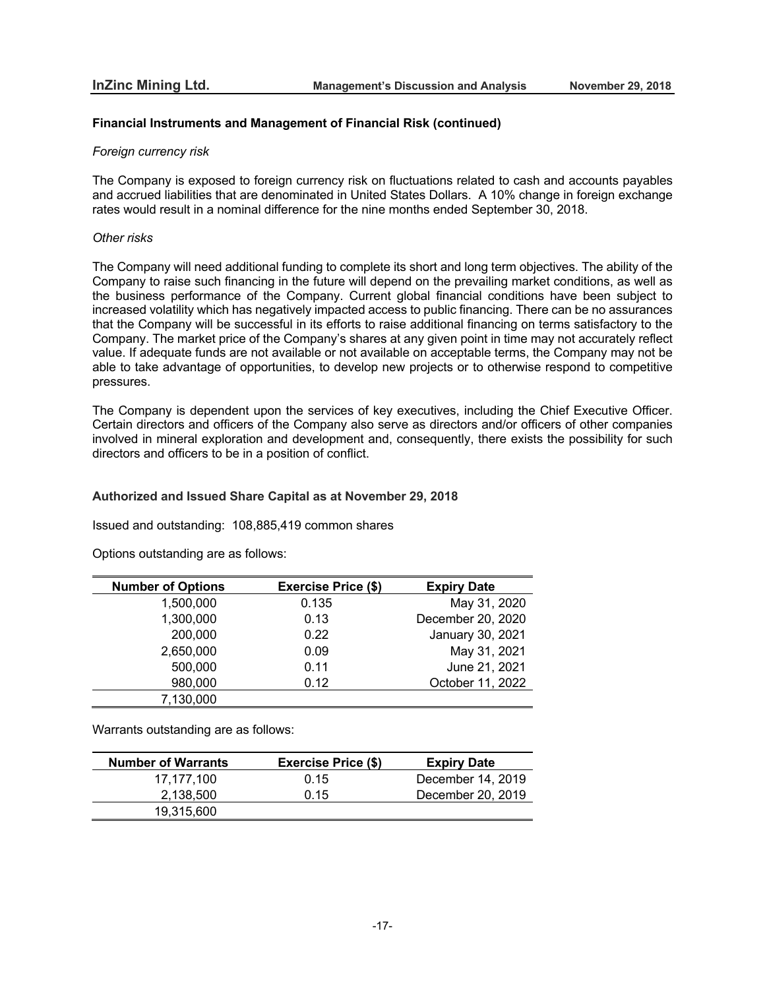## **Financial Instruments and Management of Financial Risk (continued)**

### *Foreign currency risk*

The Company is exposed to foreign currency risk on fluctuations related to cash and accounts payables and accrued liabilities that are denominated in United States Dollars. A 10% change in foreign exchange rates would result in a nominal difference for the nine months ended September 30, 2018.

## *Other risks*

The Company will need additional funding to complete its short and long term objectives. The ability of the Company to raise such financing in the future will depend on the prevailing market conditions, as well as the business performance of the Company. Current global financial conditions have been subject to increased volatility which has negatively impacted access to public financing. There can be no assurances that the Company will be successful in its efforts to raise additional financing on terms satisfactory to the Company. The market price of the Company's shares at any given point in time may not accurately reflect value. If adequate funds are not available or not available on acceptable terms, the Company may not be able to take advantage of opportunities, to develop new projects or to otherwise respond to competitive pressures.

The Company is dependent upon the services of key executives, including the Chief Executive Officer. Certain directors and officers of the Company also serve as directors and/or officers of other companies involved in mineral exploration and development and, consequently, there exists the possibility for such directors and officers to be in a position of conflict.

## **Authorized and Issued Share Capital as at November 29, 2018**

Issued and outstanding: 108,885,419 common shares

Options outstanding are as follows:

| <b>Number of Options</b> | <b>Exercise Price (\$)</b> | <b>Expiry Date</b> |
|--------------------------|----------------------------|--------------------|
| 1,500,000                | 0.135                      | May 31, 2020       |
| 1,300,000                | 0.13                       | December 20, 2020  |
| 200,000                  | 0.22                       | January 30, 2021   |
| 2,650,000                | 0.09                       | May 31, 2021       |
| 500,000                  | 0.11                       | June 21, 2021      |
| 980,000                  | 0.12                       | October 11, 2022   |
| 7,130,000                |                            |                    |

Warrants outstanding are as follows:

| <b>Number of Warrants</b> | <b>Exercise Price (\$)</b> | <b>Expiry Date</b> |
|---------------------------|----------------------------|--------------------|
| 17.177.100                | 0.15                       | December 14, 2019  |
| 2,138,500                 | 0.15                       | December 20, 2019  |
| 19,315,600                |                            |                    |